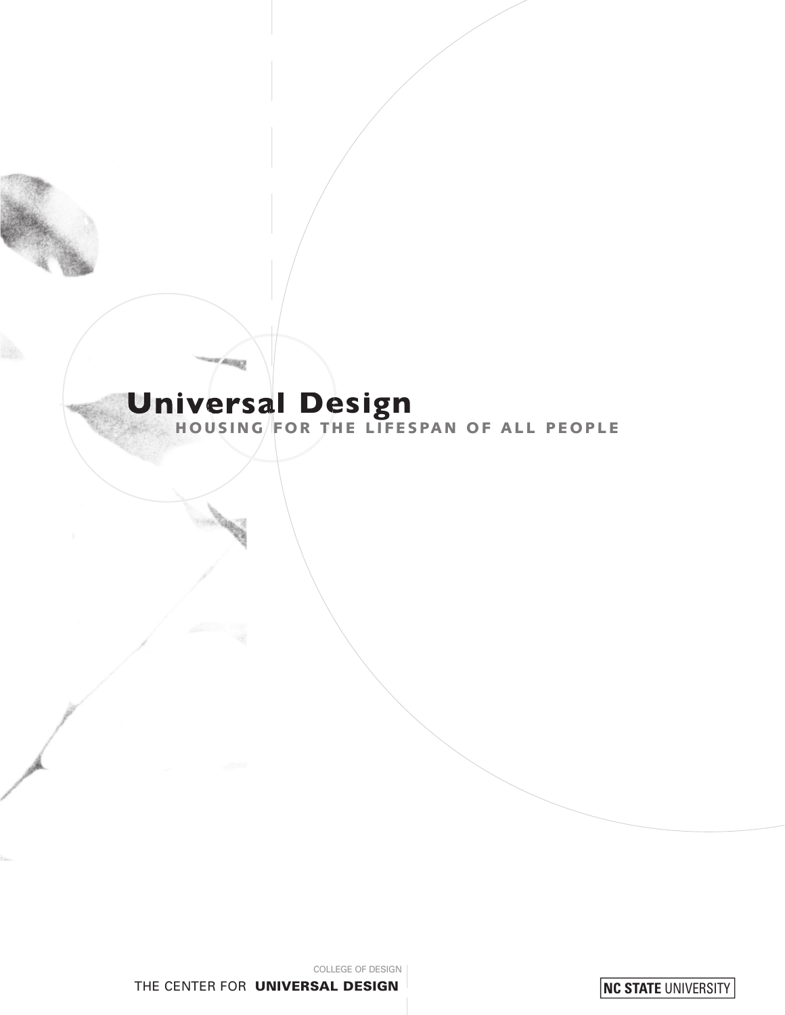# Universal Design<br>HOUSING FOR THE LIFESPAN OF ALL PEOPLE

**CERTIFY** 

NC STATE UNIVERSITY

COLLEGE OF DESIGN THE CENTER FOR UNIVERSAL DESIGN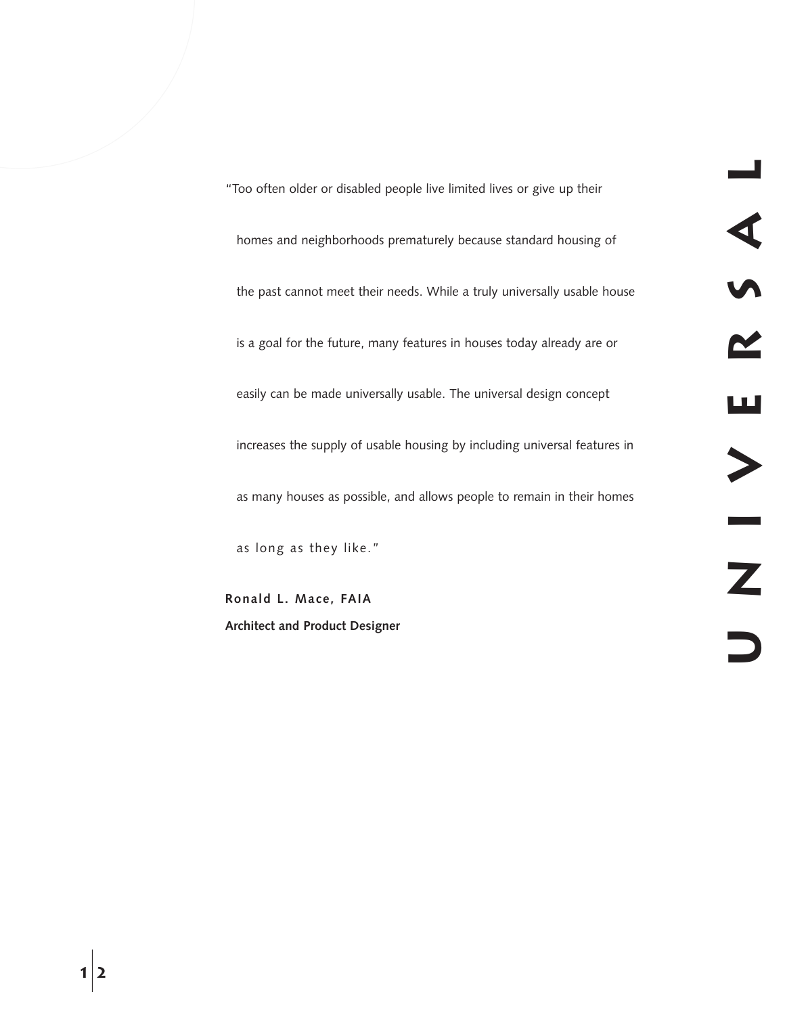"Too often older or disabled people live limited lives or give up their homes and neighborhoods prematurely because standard housing of the past cannot meet their needs. While a truly universally usable house is a goal for the future, many features in houses today already are or easily can be made universally usable. The universal design concept increases the supply of usable housing by including universal features in as many houses as possible, and allows people to remain in their homes as long as they like."

**Ronald L. Mace, FAIA Architect and Product Designer**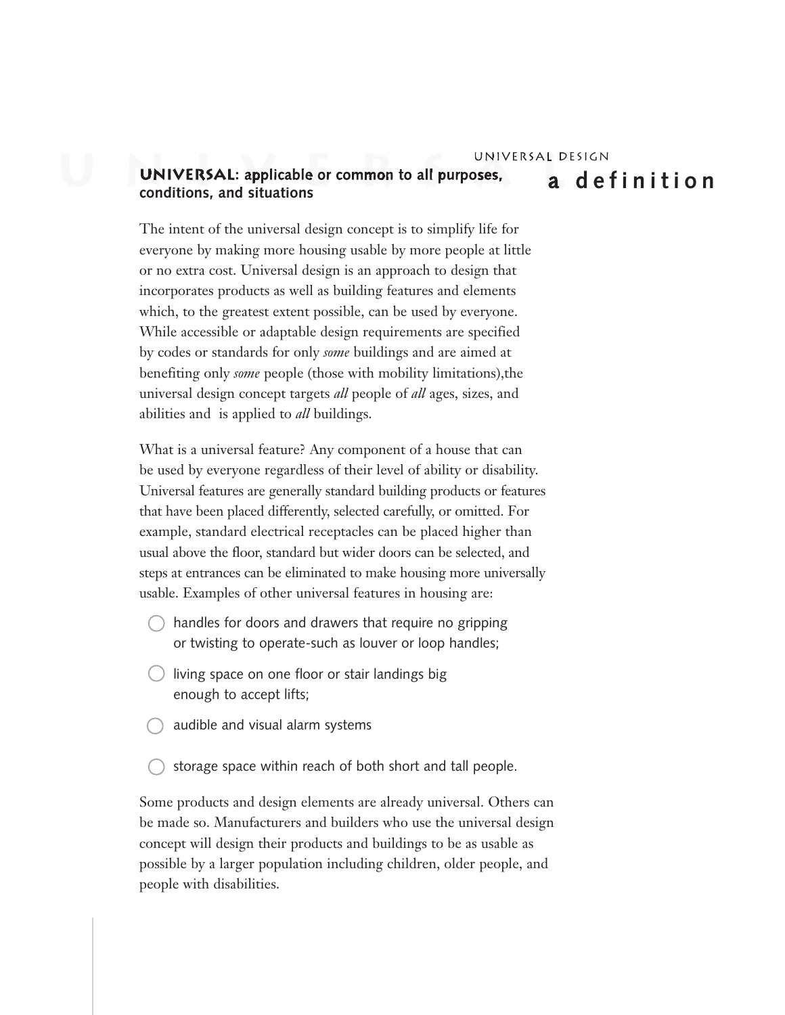# UNIVERSAL DESIGN<br>**UNIVERSAL:** applicable or common to all purposes, **a** definition **conditions, and situations**

The intent of the universal design concept is to simplify life for everyone by making more housing usable by more people at little or no extra cost. Universal design is an approach to design that incorporates products as well as building features and elements which, to the greatest extent possible, can be used by everyone. While accessible or adaptable design requirements are specified by codes or standards for only *some* buildings and are aimed at benefiting only *some* people (those with mobility limitations),the universal design concept targets *all* people of *all* ages, sizes, and abilities and is applied to *all* buildings.

What is a universal feature? Any component of a house that can be used by everyone regardless of their level of ability or disability. Universal features are generally standard building products or features that have been placed differently, selected carefully, or omitted. For example, standard electrical receptacles can be placed higher than usual above the floor, standard but wider doors can be selected, and steps at entrances can be eliminated to make housing more universally usable. Examples of other universal features in housing are:

- $\bigcirc$  handles for doors and drawers that require no gripping or twisting to operate-such as louver or loop handles;
- living space on one floor or stair landings big enough to accept lifts;
- audible and visual alarm systems
- storage space within reach of both short and tall people.

Some products and design elements are already universal. Others can be made so. Manufacturers and builders who use the universal design concept will design their products and buildings to be as usable as possible by a larger population including children, older people, and people with disabilities.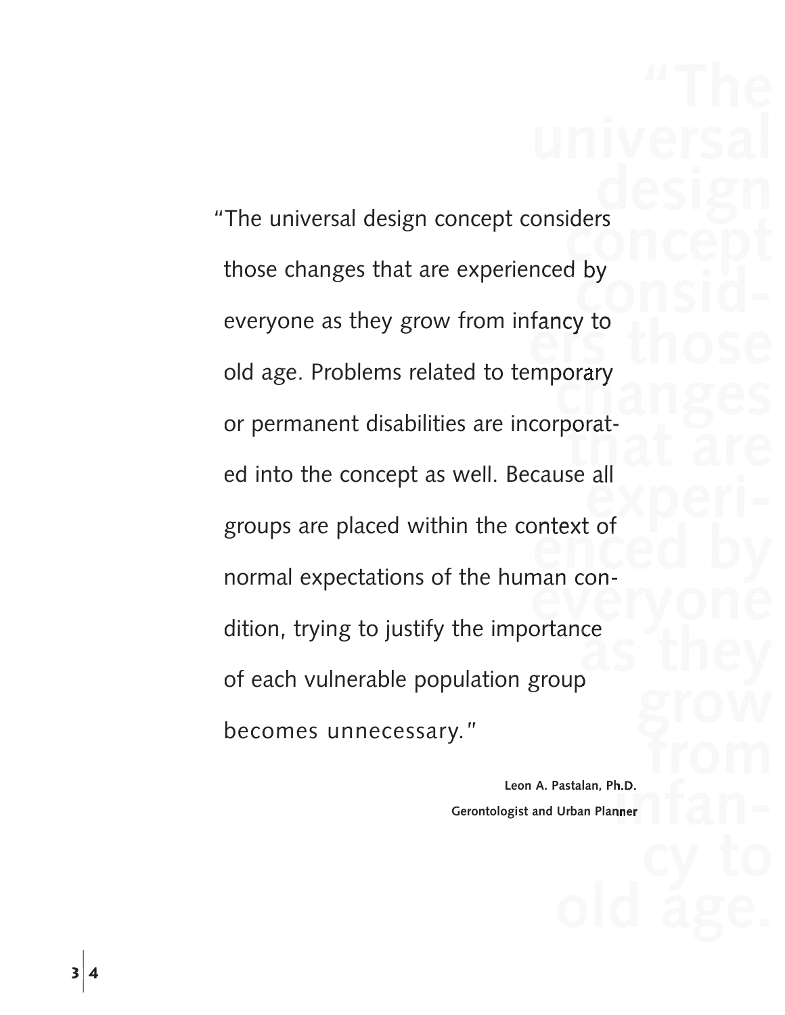**design concept**<br>aby **by**<br>CONSID**example 2**<br>**example:**<br>**example:**<br>**example:** porary<br>rnoratporat-<br>se all **experienced** by **experienced** by **experienced** by **experienced** by **experienced** by **experienced** by **experienced** by **experienced** by **experienced** by **experience everyone**<br> **everyone**<br> **ortance as they**  The universal design concept considers<br>those changes that are experienced by<br>everyone as they grow from infancy to<br>old age. Problems related to temporary<br>or permanent disabilities are incorporated into the concept as well. Because all groups are placed within the context of normal expectations of the human condition, trying to justify the importance<br>of each vulnerable population group becomes unnecessary."

> **h.D.**<br>nner **infantant and the set of the set of the set of the set of the set of the set of the set of the set of the set of the set of the set of the set of the set of the set of the set of the set of the set of the set Leon A. Pastalan, Ph.D. Gerontologist and Urban Planner**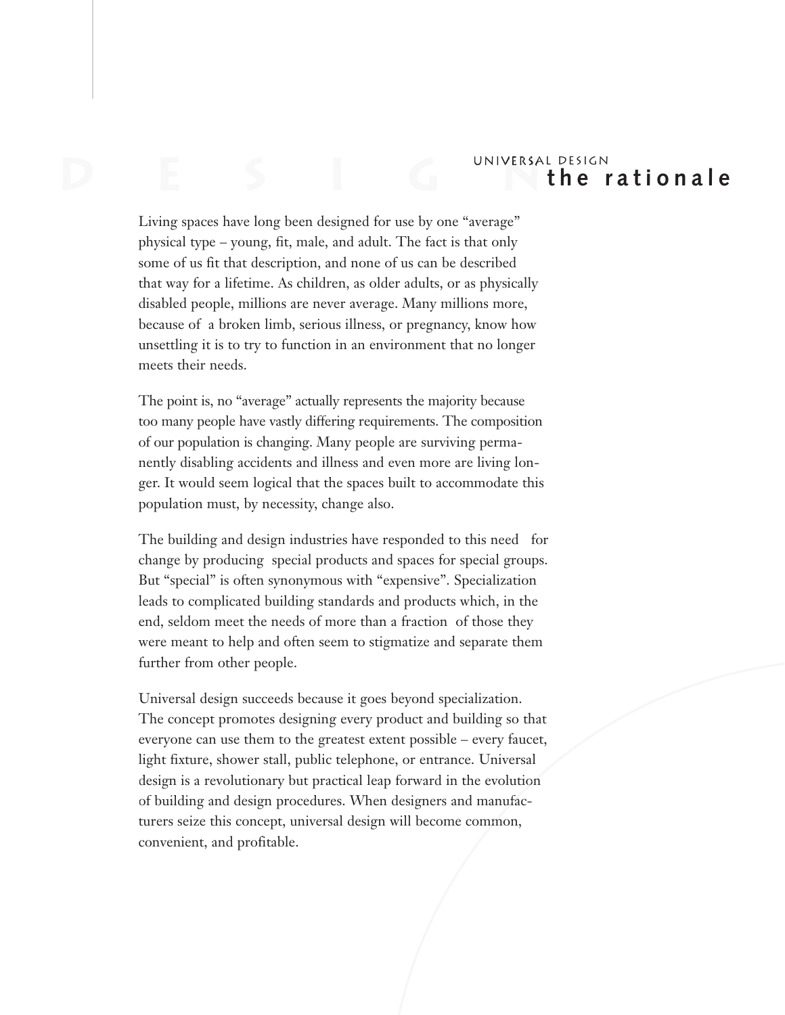## **D** e seu de la component de la component de la component de la component de la component de la component de la component de la component de la component de la component de la component de la component de la component de l Universal Design  **t h e r a t i o n a l e**

Living spaces have long been designed for use by one "average" physical type – young, fit, male, and adult. The fact is that only some of us fit that description, and none of us can be described that way for a lifetime. As children, as older adults, or as physically disabled people, millions are never average. Many millions more, because of a broken limb, serious illness, or pregnancy, know how unsettling it is to try to function in an environment that no longer meets their needs.

The point is, no "average" actually represents the majority because too many people have vastly differing requirements. The composition of our population is changing. Many people are surviving permanently disabling accidents and illness and even more are living longer. It would seem logical that the spaces built to accommodate this population must, by necessity, change also.

The building and design industries have responded to this need for change by producing special products and spaces for special groups. But "special" is often synonymous with "expensive". Specialization leads to complicated building standards and products which, in the end, seldom meet the needs of more than a fraction of those they were meant to help and often seem to stigmatize and separate them further from other people.

Universal design succeeds because it goes beyond specialization. The concept promotes designing every product and building so that everyone can use them to the greatest extent possible – every faucet, light fixture, shower stall, public telephone, or entrance. Universal design is a revolutionary but practical leap forward in the evolution of building and design procedures. When designers and manufacturers seize this concept, universal design will become common, convenient, and profitable.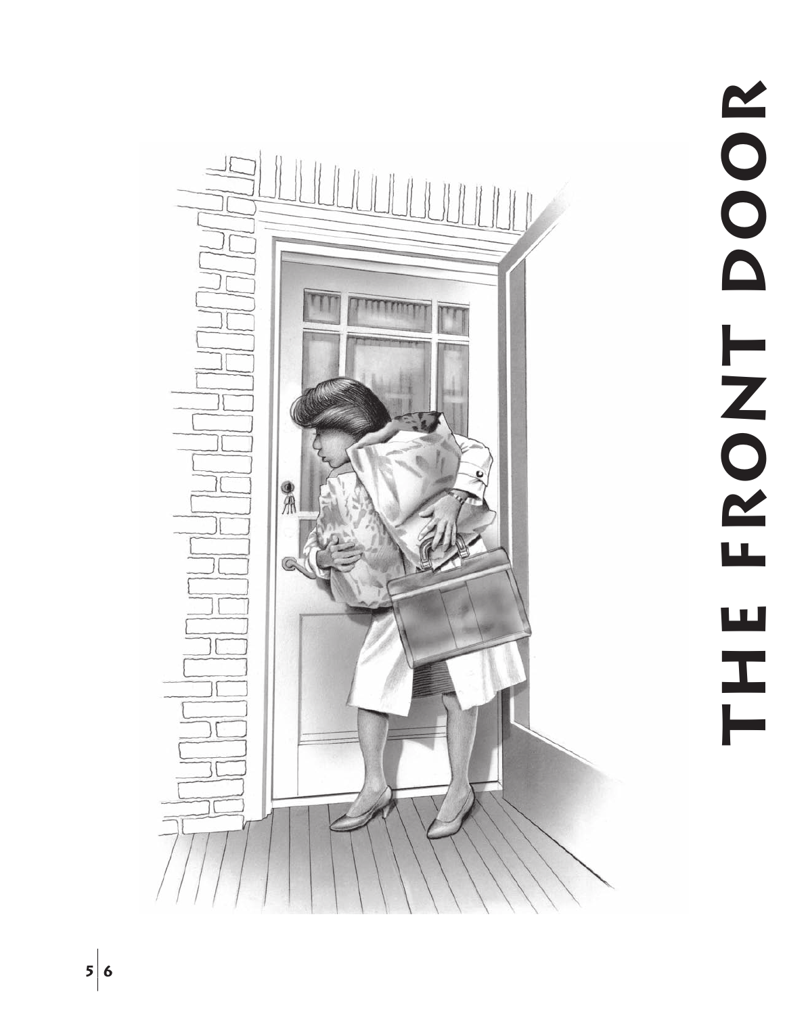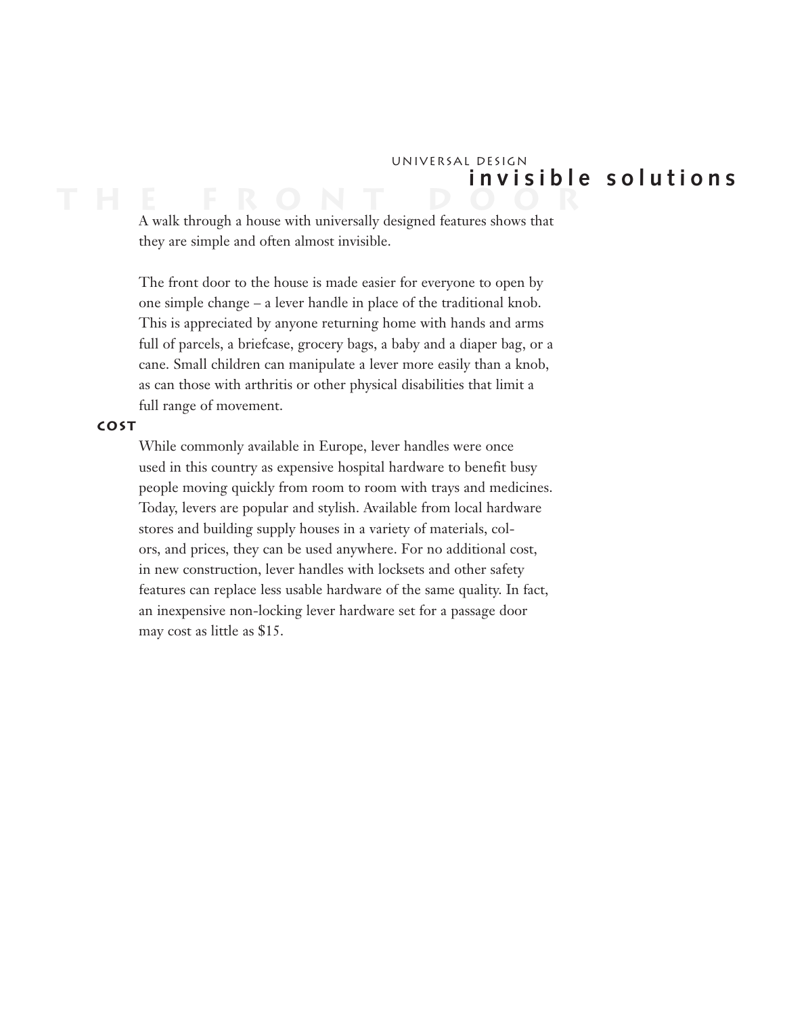## **T h e f r o n t d o o r** Universal Design  **i n v i s i b l e s o l u t i o n s**

A walk through a house with universally designed features shows that they are simple and often almost invisible.

The front door to the house is made easier for everyone to open by one simple change – a lever handle in place of the traditional knob. This is appreciated by anyone returning home with hands and arms full of parcels, a briefcase, grocery bags, a baby and a diaper bag, or a cane. Small children can manipulate a lever more easily than a knob, as can those with arthritis or other physical disabilities that limit a full range of movement.

#### **cost**

While commonly available in Europe, lever handles were once used in this country as expensive hospital hardware to benefit busy people moving quickly from room to room with trays and medicines. Today, levers are popular and stylish. Available from local hardware stores and building supply houses in a variety of materials, colors, and prices, they can be used anywhere. For no additional cost, in new construction, lever handles with locksets and other safety features can replace less usable hardware of the same quality. In fact, an inexpensive non-locking lever hardware set for a passage door may cost as little as \$15.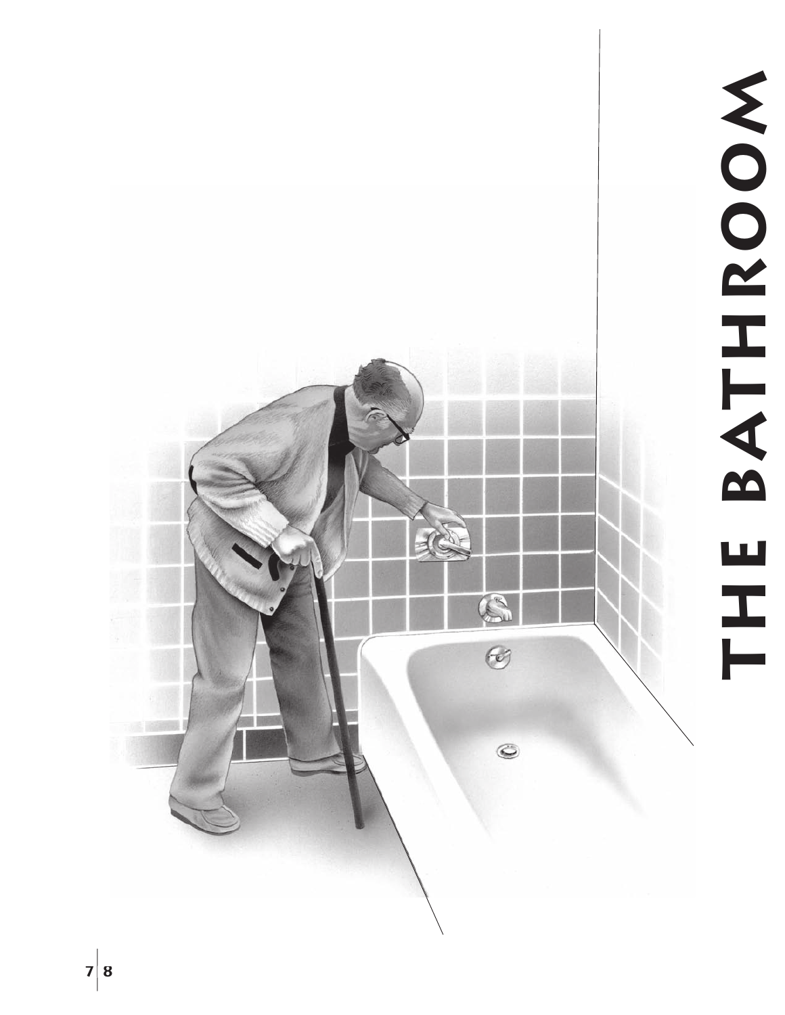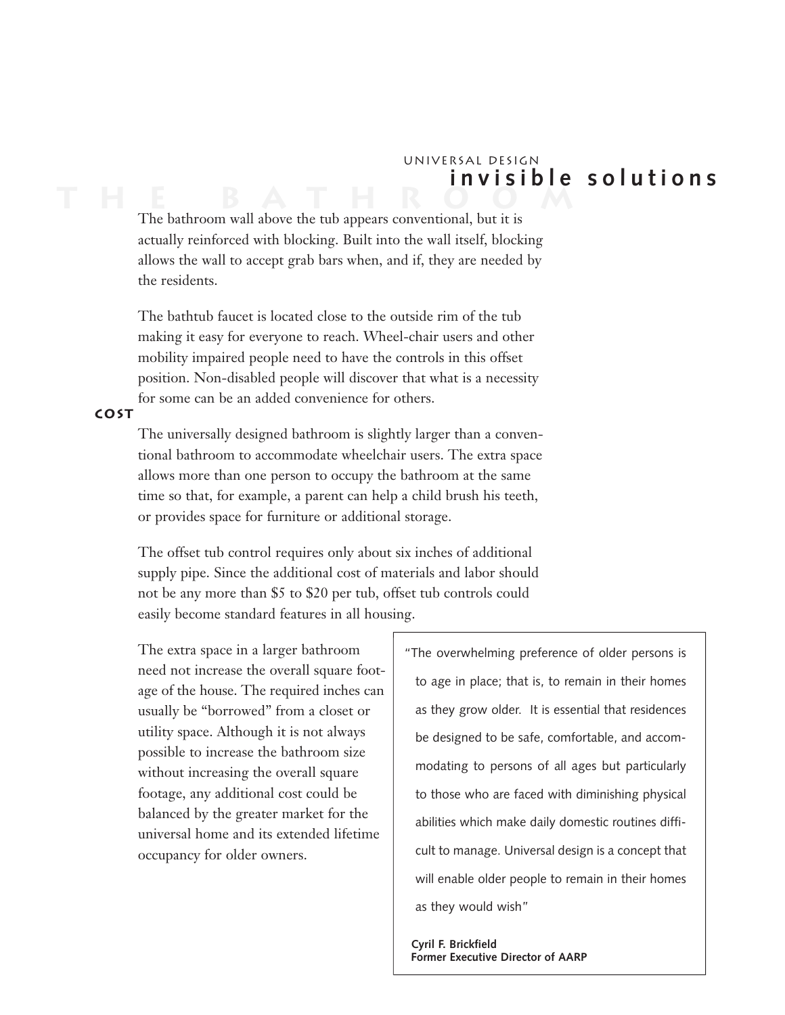## **T h e b a t h r o o m** Universal Design **i n v i s i b l e s o l u t i o n s**

The bathroom wall above the tub appears conventional, but it is actually reinforced with blocking. Built into the wall itself, blocking allows the wall to accept grab bars when, and if, they are needed by the residents.

The bathtub faucet is located close to the outside rim of the tub making it easy for everyone to reach. Wheel-chair users and other mobility impaired people need to have the controls in this offset position. Non-disabled people will discover that what is a necessity for some can be an added convenience for others.

#### **cost**

The universally designed bathroom is slightly larger than a conventional bathroom to accommodate wheelchair users. The extra space allows more than one person to occupy the bathroom at the same time so that, for example, a parent can help a child brush his teeth, or provides space for furniture or additional storage.

The offset tub control requires only about six inches of additional supply pipe. Since the additional cost of materials and labor should not be any more than \$5 to \$20 per tub, offset tub controls could easily become standard features in all housing.

The extra space in a larger bathroom need not increase the overall square footage of the house. The required inches can usually be "borrowed" from a closet or utility space. Although it is not always possible to increase the bathroom size without increasing the overall square footage, any additional cost could be balanced by the greater market for the universal home and its extended lifetime occupancy for older owners.

"The overwhelming preference of older persons is to age in place; that is, to remain in their homes as they grow older. It is essential that residences be designed to be safe, comfortable, and accommodating to persons of all ages but particularly to those who are faced with diminishing physical abilities which make daily domestic routines difficult to manage. Universal design is a concept that will enable older people to remain in their homes as they would wish"

 **Cyril F. Brickfield Former Executive Director of AARP**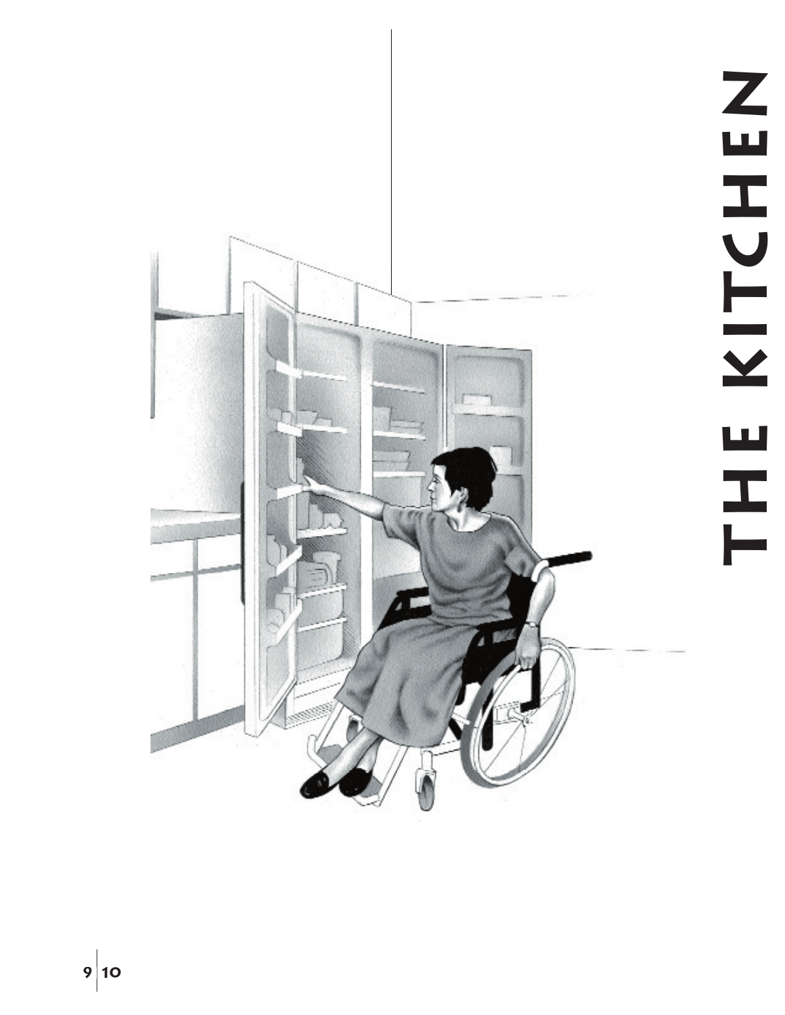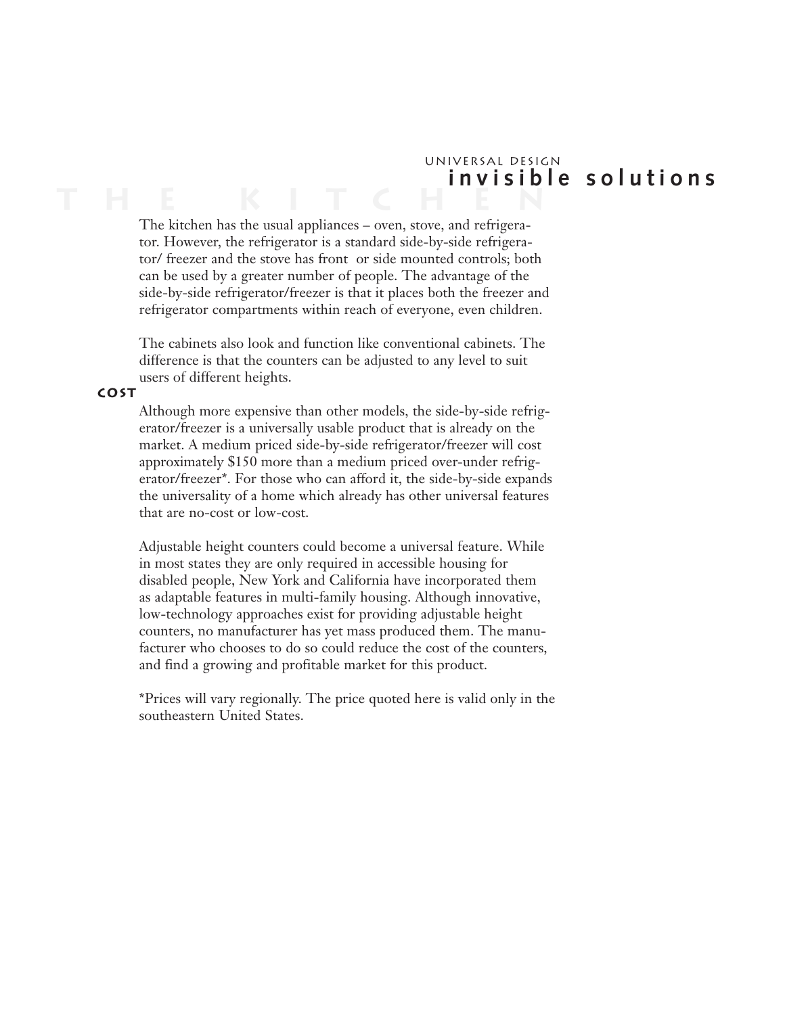## **T h e K i t c h e n** Universal Design  **i n v i s i b l e s o l u t i o n s**

The kitchen has the usual appliances – oven, stove, and refrigerator. However, the refrigerator is a standard side-by-side refrigerator/ freezer and the stove has front or side mounted controls; both can be used by a greater number of people. The advantage of the side-by-side refrigerator/freezer is that it places both the freezer and refrigerator compartments within reach of everyone, even children.

The cabinets also look and function like conventional cabinets. The difference is that the counters can be adjusted to any level to suit users of different heights.

#### **cost**

Although more expensive than other models, the side-by-side refrigerator/freezer is a universally usable product that is already on the market. A medium priced side-by-side refrigerator/freezer will cost approximately \$150 more than a medium priced over-under refrigerator/freezer\*. For those who can afford it, the side-by-side expands the universality of a home which already has other universal features that are no-cost or low-cost.

Adjustable height counters could become a universal feature. While in most states they are only required in accessible housing for disabled people, New York and California have incorporated them as adaptable features in multi-family housing. Although innovative, low-technology approaches exist for providing adjustable height counters, no manufacturer has yet mass produced them. The manufacturer who chooses to do so could reduce the cost of the counters, and find a growing and profitable market for this product.

\*Prices will vary regionally. The price quoted here is valid only in the southeastern United States.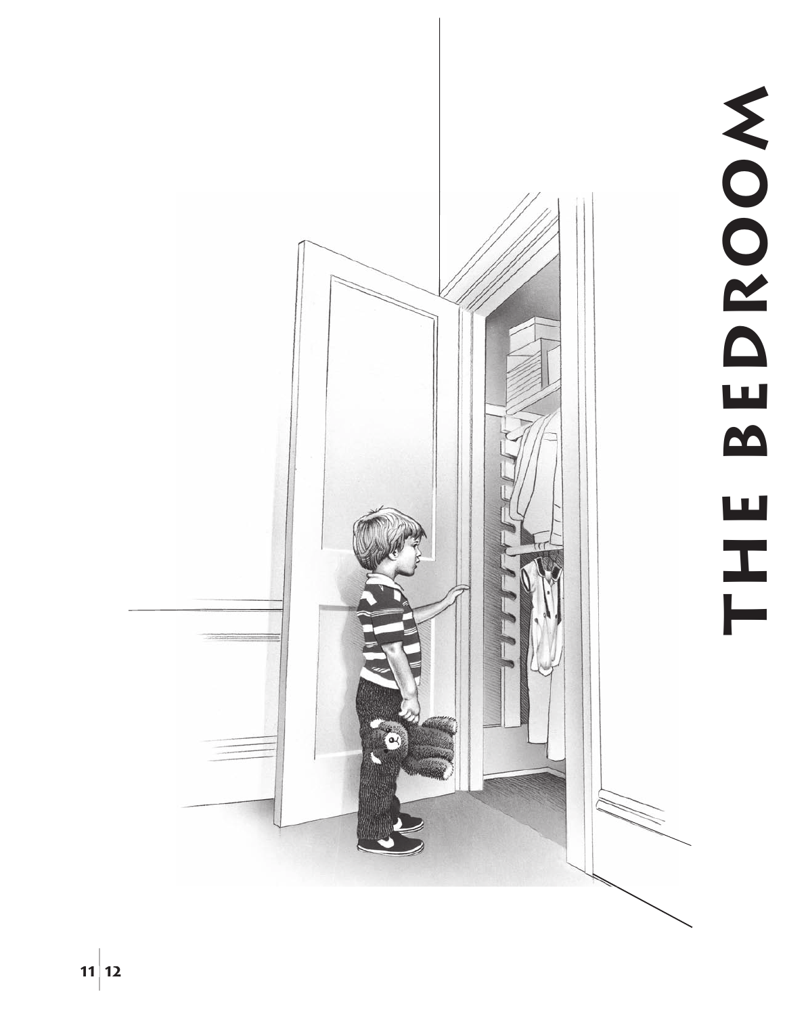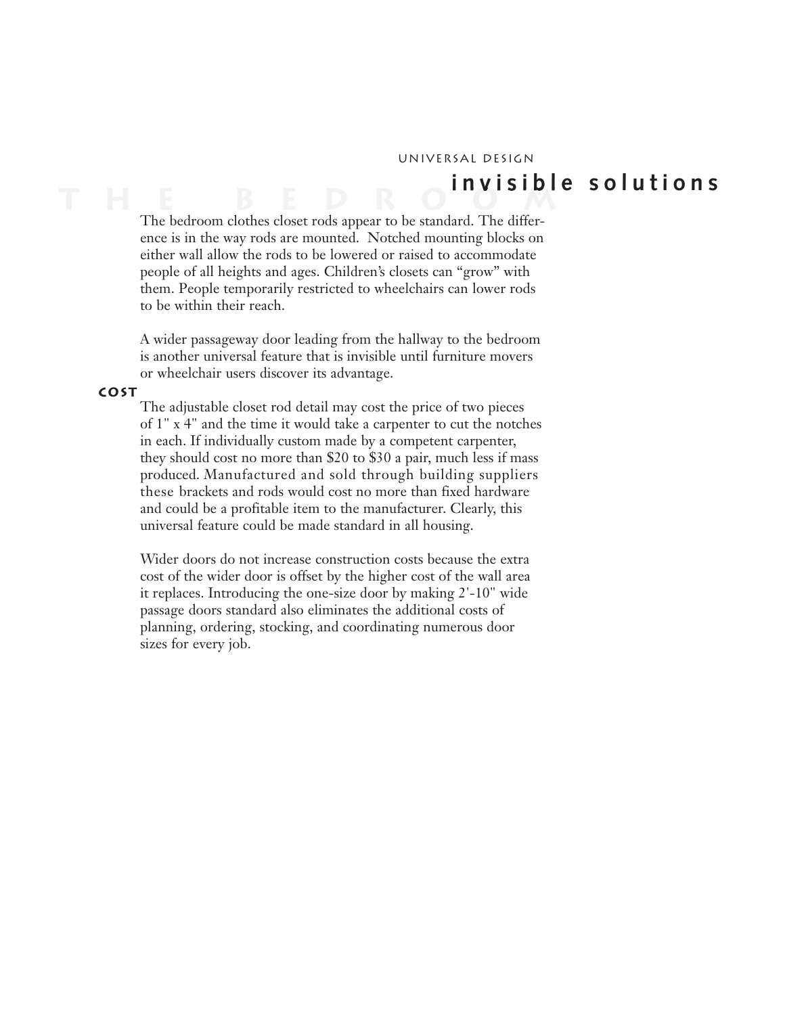#### Universal Design

# **T h e B e d r o o m i n v i s i b l e s o l u t i o n s**

The bedroom clothes closet rods appear to be standard. The difference is in the way rods are mounted. Notched mounting blocks on either wall allow the rods to be lowered or raised to accommodate people of all heights and ages. Children's closets can "grow" with them. People temporarily restricted to wheelchairs can lower rods to be within their reach.

A wider passageway door leading from the hallway to the bedroom is another universal feature that is invisible until furniture movers or wheelchair users discover its advantage.

#### **cost**

The adjustable closet rod detail may cost the price of two pieces of 1" x 4" and the time it would take a carpenter to cut the notches in each. If individually custom made by a competent carpenter, they should cost no more than \$20 to \$30 a pair, much less if mass produced. Manufactured and sold through building suppliers these brackets and rods would cost no more than fixed hardware and could be a profitable item to the manufacturer. Clearly, this universal feature could be made standard in all housing.

Wider doors do not increase construction costs because the extra cost of the wider door is offset by the higher cost of the wall area it replaces. Introducing the one-size door by making 2'-10" wide passage doors standard also eliminates the additional costs of planning, ordering, stocking, and coordinating numerous door sizes for every job.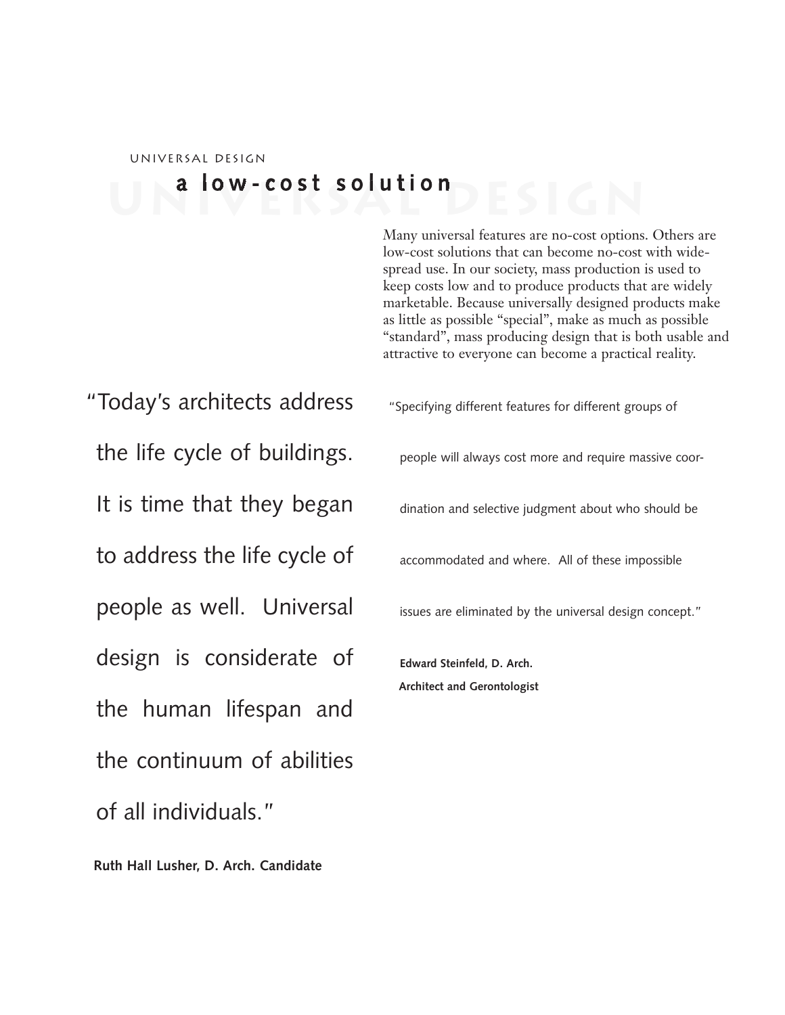# Universal Design **a l o w - c o s t s o l u t i o n**

Many universal features are no-cost options. Others are low-cost solutions that can become no-cost with widespread use. In our society, mass production is used to keep costs low and to produce products that are widely marketable. Because universally designed products make as little as possible "special", make as much as possible "standard", mass producing design that is both usable and attractive to everyone can become a practical reality.

"Today's architects address the life cycle of buildings. It is time that they began to address the life cycle of people as well. Universal design is considerate of the human lifespan and the continuum of abilities of all individuals."

 **Ruth Hall Lusher, D. Arch. Candidate**

"Specifying different features for different groups of

people will always cost more and require massive coor-

dination and selective judgment about who should be

accommodated and where. All of these impossible

issues are eliminated by the universal design concept."

**Edward Steinfeld, D. Arch. Architect and Gerontologist**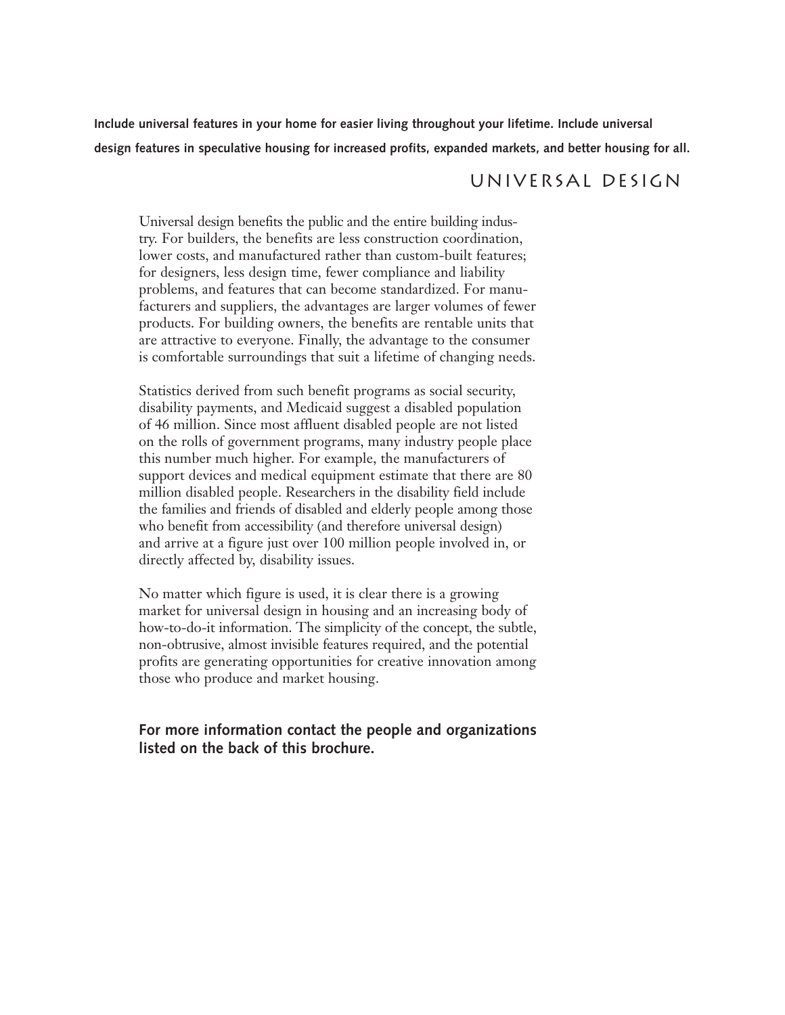**Include universal features in your home for easier living throughout your lifetime. Include universal design features in speculative housing for increased profits, expanded markets, and better housing for all.**

### Universal Design

Universal design benefits the public and the entire building industry. For builders, the benefits are less construction coordination, lower costs, and manufactured rather than custom-built features; for designers, less design time, fewer compliance and liability problems, and features that can become standardized. For manufacturers and suppliers, the advantages are larger volumes of fewer products. For building owners, the benefits are rentable units that are attractive to everyone. Finally, the advantage to the consumer is comfortable surroundings that suit a lifetime of changing needs.

Statistics derived from such benefit programs as social security, disability payments, and Medicaid suggest a disabled population of 46 million. Since most affluent disabled people are not listed on the rolls of government programs, many industry people place this number much higher. For example, the manufacturers of support devices and medical equipment estimate that there are 80 million disabled people. Researchers in the disability field include the families and friends of disabled and elderly people among those who benefit from accessibility (and therefore universal design) and arrive at a figure just over 100 million people involved in, or directly affected by, disability issues.

No matter which figure is used, it is clear there is a growing market for universal design in housing and an increasing body of how-to-do-it information. The simplicity of the concept, the subtle, non-obtrusive, almost invisible features required, and the potential profits are generating opportunities for creative innovation among those who produce and market housing.

#### **For more information contact the people and organizations listed on the back of this brochure.**